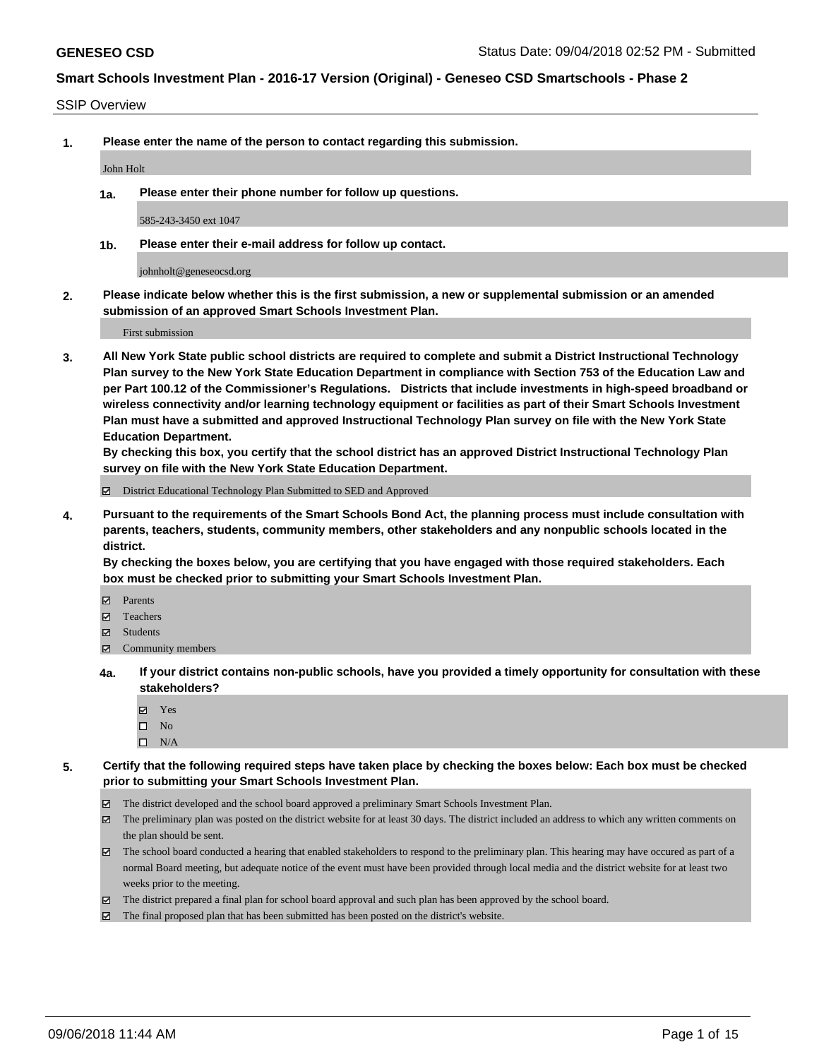SSIP Overview

**1. Please enter the name of the person to contact regarding this submission.**

John Holt

**1a. Please enter their phone number for follow up questions.**

585-243-3450 ext 1047

**1b. Please enter their e-mail address for follow up contact.**

johnholt@geneseocsd.org

**2. Please indicate below whether this is the first submission, a new or supplemental submission or an amended submission of an approved Smart Schools Investment Plan.**

First submission

**3. All New York State public school districts are required to complete and submit a District Instructional Technology Plan survey to the New York State Education Department in compliance with Section 753 of the Education Law and per Part 100.12 of the Commissioner's Regulations. Districts that include investments in high-speed broadband or wireless connectivity and/or learning technology equipment or facilities as part of their Smart Schools Investment Plan must have a submitted and approved Instructional Technology Plan survey on file with the New York State Education Department.** 

**By checking this box, you certify that the school district has an approved District Instructional Technology Plan survey on file with the New York State Education Department.**

District Educational Technology Plan Submitted to SED and Approved

**4. Pursuant to the requirements of the Smart Schools Bond Act, the planning process must include consultation with parents, teachers, students, community members, other stakeholders and any nonpublic schools located in the district.** 

**By checking the boxes below, you are certifying that you have engaged with those required stakeholders. Each box must be checked prior to submitting your Smart Schools Investment Plan.**

- **Parents**
- Teachers
- **☑** Students
- **☑** Community members
- **4a. If your district contains non-public schools, have you provided a timely opportunity for consultation with these stakeholders?**
	- **Ø** Yes
	- $\square$  No
	- $\square$  N/A
- **5. Certify that the following required steps have taken place by checking the boxes below: Each box must be checked prior to submitting your Smart Schools Investment Plan.**
	- The district developed and the school board approved a preliminary Smart Schools Investment Plan.
	- $\boxtimes$  The preliminary plan was posted on the district website for at least 30 days. The district included an address to which any written comments on the plan should be sent.
	- The school board conducted a hearing that enabled stakeholders to respond to the preliminary plan. This hearing may have occured as part of a normal Board meeting, but adequate notice of the event must have been provided through local media and the district website for at least two weeks prior to the meeting.
	- The district prepared a final plan for school board approval and such plan has been approved by the school board.
	- The final proposed plan that has been submitted has been posted on the district's website.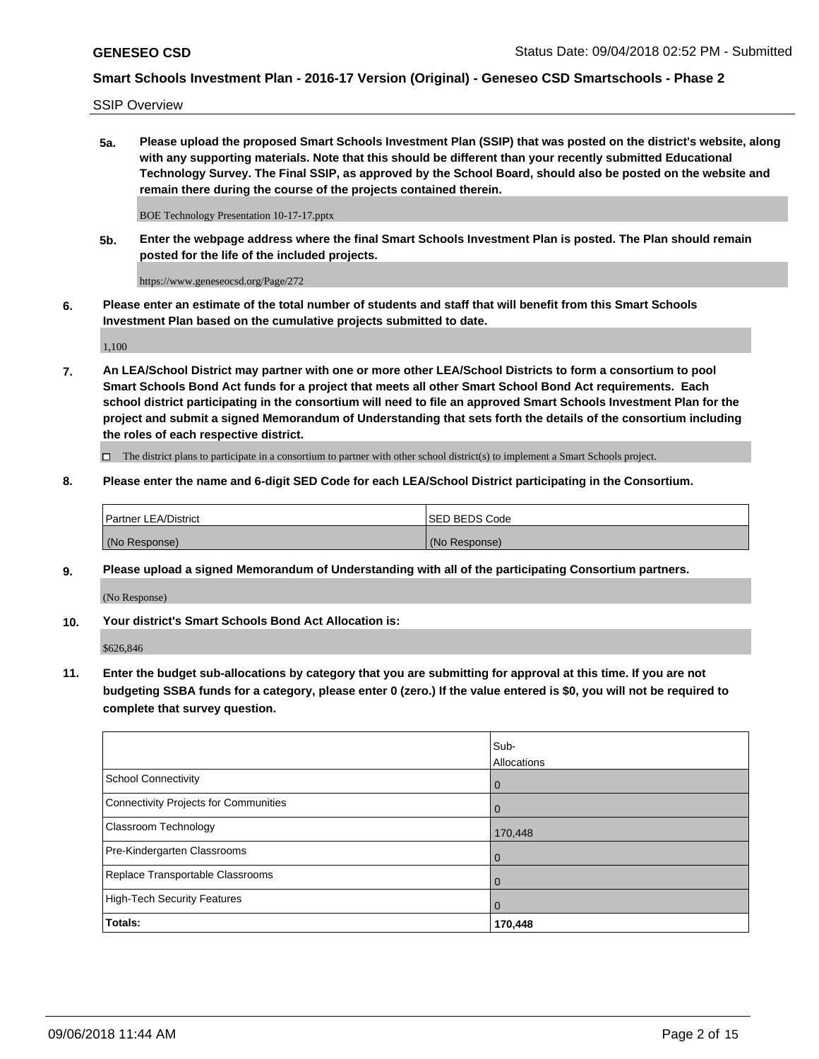SSIP Overview

**5a. Please upload the proposed Smart Schools Investment Plan (SSIP) that was posted on the district's website, along with any supporting materials. Note that this should be different than your recently submitted Educational Technology Survey. The Final SSIP, as approved by the School Board, should also be posted on the website and remain there during the course of the projects contained therein.**

BOE Technology Presentation 10-17-17.pptx

**5b. Enter the webpage address where the final Smart Schools Investment Plan is posted. The Plan should remain posted for the life of the included projects.**

https://www.geneseocsd.org/Page/272

**6. Please enter an estimate of the total number of students and staff that will benefit from this Smart Schools Investment Plan based on the cumulative projects submitted to date.**

1,100

**7. An LEA/School District may partner with one or more other LEA/School Districts to form a consortium to pool Smart Schools Bond Act funds for a project that meets all other Smart School Bond Act requirements. Each school district participating in the consortium will need to file an approved Smart Schools Investment Plan for the project and submit a signed Memorandum of Understanding that sets forth the details of the consortium including the roles of each respective district.**

 $\Box$  The district plans to participate in a consortium to partner with other school district(s) to implement a Smart Schools project.

#### **8. Please enter the name and 6-digit SED Code for each LEA/School District participating in the Consortium.**

| Partner LEA/District | <b>ISED BEDS Code</b> |
|----------------------|-----------------------|
| (No Response)        | (No Response)         |

#### **9. Please upload a signed Memorandum of Understanding with all of the participating Consortium partners.**

(No Response)

**10. Your district's Smart Schools Bond Act Allocation is:**

\$626,846

**11. Enter the budget sub-allocations by category that you are submitting for approval at this time. If you are not budgeting SSBA funds for a category, please enter 0 (zero.) If the value entered is \$0, you will not be required to complete that survey question.**

|                                       | Sub-<br>Allocations |
|---------------------------------------|---------------------|
| School Connectivity                   | $\overline{0}$      |
| Connectivity Projects for Communities | 0                   |
| <b>Classroom Technology</b>           | 170,448             |
| Pre-Kindergarten Classrooms           | $\overline{0}$      |
| Replace Transportable Classrooms      | $\Omega$            |
| High-Tech Security Features           | $\Omega$            |
| Totals:                               | 170,448             |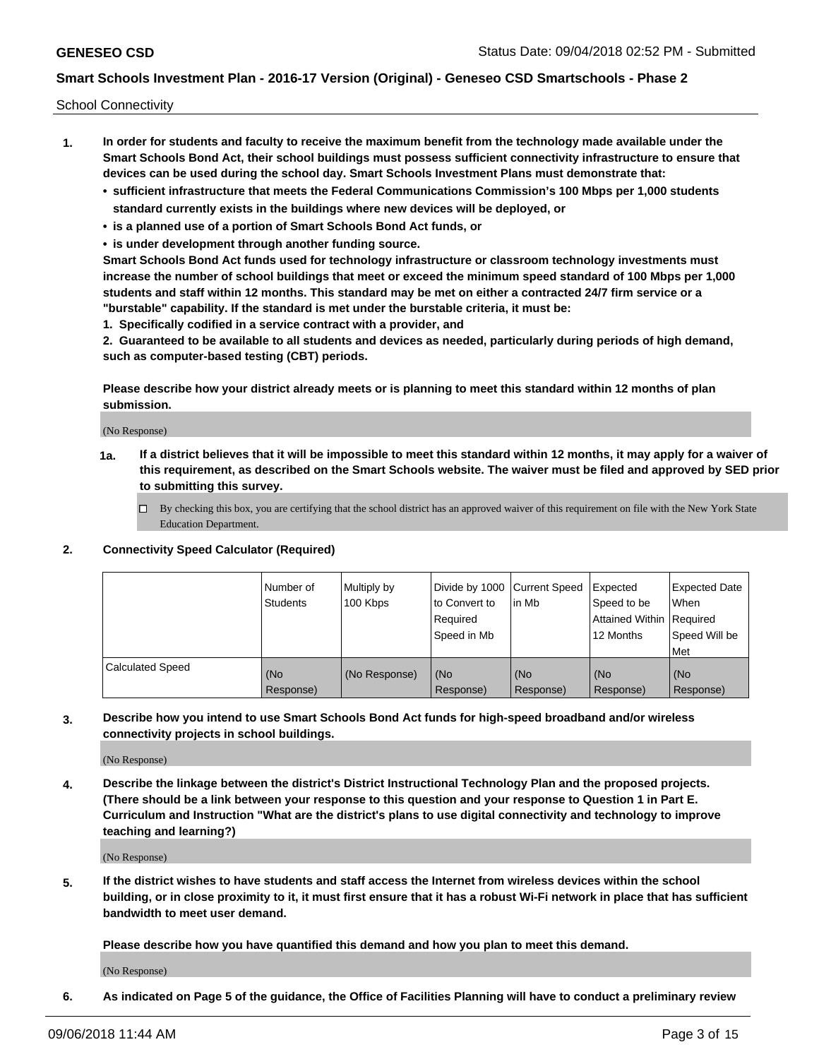School Connectivity

- **1. In order for students and faculty to receive the maximum benefit from the technology made available under the Smart Schools Bond Act, their school buildings must possess sufficient connectivity infrastructure to ensure that devices can be used during the school day. Smart Schools Investment Plans must demonstrate that:**
	- **• sufficient infrastructure that meets the Federal Communications Commission's 100 Mbps per 1,000 students standard currently exists in the buildings where new devices will be deployed, or**
	- **• is a planned use of a portion of Smart Schools Bond Act funds, or**
	- **• is under development through another funding source.**

**Smart Schools Bond Act funds used for technology infrastructure or classroom technology investments must increase the number of school buildings that meet or exceed the minimum speed standard of 100 Mbps per 1,000 students and staff within 12 months. This standard may be met on either a contracted 24/7 firm service or a "burstable" capability. If the standard is met under the burstable criteria, it must be:**

**1. Specifically codified in a service contract with a provider, and**

**2. Guaranteed to be available to all students and devices as needed, particularly during periods of high demand, such as computer-based testing (CBT) periods.**

**Please describe how your district already meets or is planning to meet this standard within 12 months of plan submission.**

(No Response)

**1a. If a district believes that it will be impossible to meet this standard within 12 months, it may apply for a waiver of this requirement, as described on the Smart Schools website. The waiver must be filed and approved by SED prior to submitting this survey.**

 $\Box$  By checking this box, you are certifying that the school district has an approved waiver of this requirement on file with the New York State Education Department.

#### **2. Connectivity Speed Calculator (Required)**

|                         | l Number of<br><b>Students</b> | Multiply by<br>100 Kbps | Divide by 1000 Current Speed<br>to Convert to<br>Required<br>l Speed in Mb | lin Mb           | Expected<br>Speed to be<br>Attained Within   Required<br>12 Months | <b>Expected Date</b><br>When<br>Speed Will be<br>Met |
|-------------------------|--------------------------------|-------------------------|----------------------------------------------------------------------------|------------------|--------------------------------------------------------------------|------------------------------------------------------|
| <b>Calculated Speed</b> | (No<br>Response)               | (No Response)           | (No<br>Response)                                                           | (No<br>Response) | (No<br>Response)                                                   | (No<br>Response)                                     |

**3. Describe how you intend to use Smart Schools Bond Act funds for high-speed broadband and/or wireless connectivity projects in school buildings.**

(No Response)

**4. Describe the linkage between the district's District Instructional Technology Plan and the proposed projects. (There should be a link between your response to this question and your response to Question 1 in Part E. Curriculum and Instruction "What are the district's plans to use digital connectivity and technology to improve teaching and learning?)**

(No Response)

**5. If the district wishes to have students and staff access the Internet from wireless devices within the school building, or in close proximity to it, it must first ensure that it has a robust Wi-Fi network in place that has sufficient bandwidth to meet user demand.**

**Please describe how you have quantified this demand and how you plan to meet this demand.**

(No Response)

**6. As indicated on Page 5 of the guidance, the Office of Facilities Planning will have to conduct a preliminary review**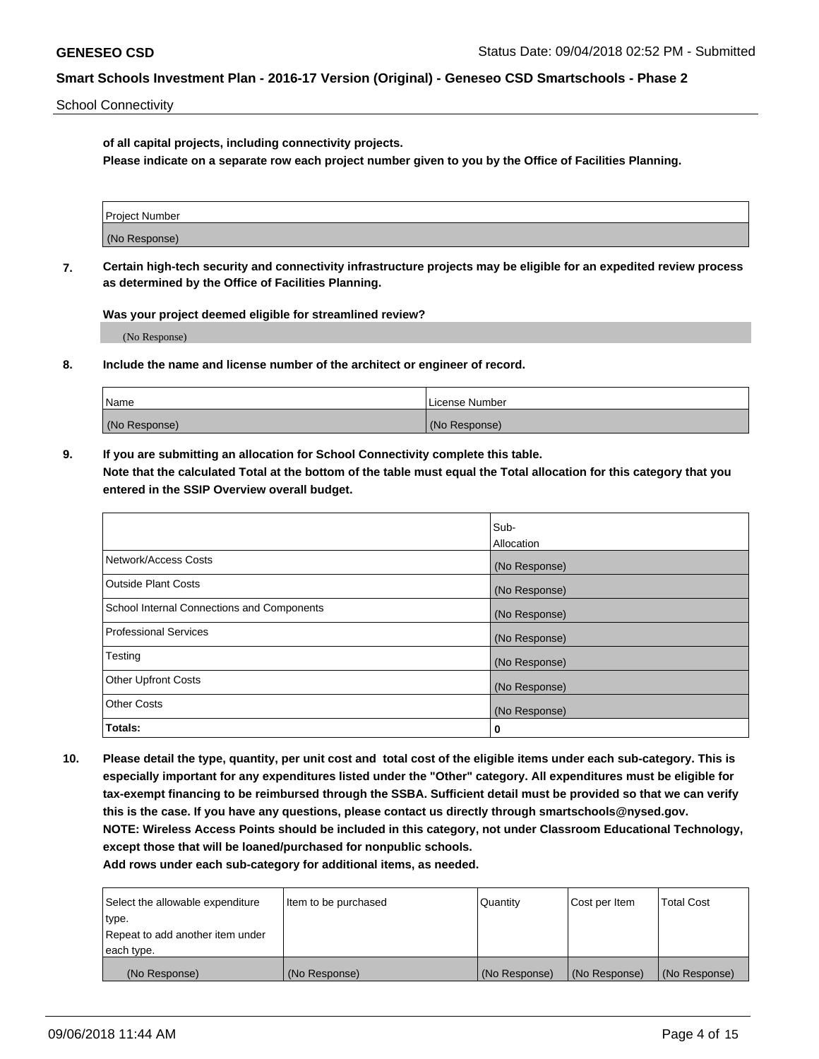School Connectivity

**of all capital projects, including connectivity projects.**

**Please indicate on a separate row each project number given to you by the Office of Facilities Planning.**

| Project Number |  |
|----------------|--|
|                |  |
| (No Response)  |  |
|                |  |

**7. Certain high-tech security and connectivity infrastructure projects may be eligible for an expedited review process as determined by the Office of Facilities Planning.**

**Was your project deemed eligible for streamlined review?**

(No Response)

**8. Include the name and license number of the architect or engineer of record.**

| Name          | License Number |
|---------------|----------------|
| (No Response) | (No Response)  |

**9. If you are submitting an allocation for School Connectivity complete this table. Note that the calculated Total at the bottom of the table must equal the Total allocation for this category that you entered in the SSIP Overview overall budget.** 

|                                            | Sub-              |
|--------------------------------------------|-------------------|
|                                            | <b>Allocation</b> |
| Network/Access Costs                       | (No Response)     |
| <b>Outside Plant Costs</b>                 | (No Response)     |
| School Internal Connections and Components | (No Response)     |
| <b>Professional Services</b>               | (No Response)     |
| Testing                                    | (No Response)     |
| <b>Other Upfront Costs</b>                 | (No Response)     |
| <b>Other Costs</b>                         | (No Response)     |
| Totals:                                    | 0                 |

**10. Please detail the type, quantity, per unit cost and total cost of the eligible items under each sub-category. This is especially important for any expenditures listed under the "Other" category. All expenditures must be eligible for tax-exempt financing to be reimbursed through the SSBA. Sufficient detail must be provided so that we can verify this is the case. If you have any questions, please contact us directly through smartschools@nysed.gov. NOTE: Wireless Access Points should be included in this category, not under Classroom Educational Technology, except those that will be loaned/purchased for nonpublic schools.**

| Select the allowable expenditure | Item to be purchased | Quantity      | <b>Cost per Item</b> | <b>Total Cost</b> |
|----------------------------------|----------------------|---------------|----------------------|-------------------|
| type.                            |                      |               |                      |                   |
| Repeat to add another item under |                      |               |                      |                   |
| each type.                       |                      |               |                      |                   |
| (No Response)                    | (No Response)        | (No Response) | (No Response)        | (No Response)     |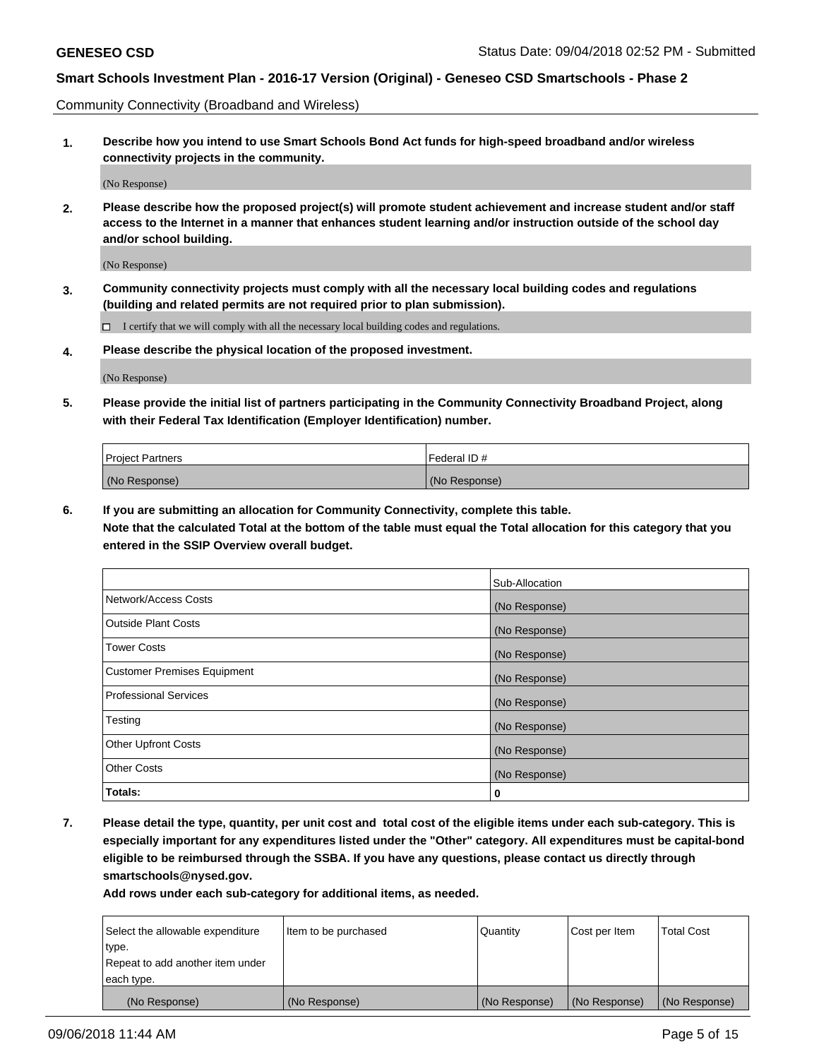Community Connectivity (Broadband and Wireless)

**1. Describe how you intend to use Smart Schools Bond Act funds for high-speed broadband and/or wireless connectivity projects in the community.**

(No Response)

**2. Please describe how the proposed project(s) will promote student achievement and increase student and/or staff access to the Internet in a manner that enhances student learning and/or instruction outside of the school day and/or school building.**

(No Response)

**3. Community connectivity projects must comply with all the necessary local building codes and regulations (building and related permits are not required prior to plan submission).**

 $\Box$  I certify that we will comply with all the necessary local building codes and regulations.

**4. Please describe the physical location of the proposed investment.**

(No Response)

**5. Please provide the initial list of partners participating in the Community Connectivity Broadband Project, along with their Federal Tax Identification (Employer Identification) number.**

| <b>Project Partners</b> | Federal ID#   |
|-------------------------|---------------|
| (No Response)           | (No Response) |

**6. If you are submitting an allocation for Community Connectivity, complete this table.**

**Note that the calculated Total at the bottom of the table must equal the Total allocation for this category that you entered in the SSIP Overview overall budget.**

|                                    | Sub-Allocation |
|------------------------------------|----------------|
| Network/Access Costs               | (No Response)  |
| <b>Outside Plant Costs</b>         | (No Response)  |
| <b>Tower Costs</b>                 | (No Response)  |
| <b>Customer Premises Equipment</b> | (No Response)  |
| <b>Professional Services</b>       | (No Response)  |
| Testing                            | (No Response)  |
| <b>Other Upfront Costs</b>         | (No Response)  |
| <b>Other Costs</b>                 | (No Response)  |
| Totals:                            | 0              |

**7. Please detail the type, quantity, per unit cost and total cost of the eligible items under each sub-category. This is especially important for any expenditures listed under the "Other" category. All expenditures must be capital-bond eligible to be reimbursed through the SSBA. If you have any questions, please contact us directly through smartschools@nysed.gov.**

| Select the allowable expenditure | Item to be purchased | Quantity      | Cost per Item | <b>Total Cost</b> |
|----------------------------------|----------------------|---------------|---------------|-------------------|
| type.                            |                      |               |               |                   |
| Repeat to add another item under |                      |               |               |                   |
| each type.                       |                      |               |               |                   |
| (No Response)                    | (No Response)        | (No Response) | (No Response) | (No Response)     |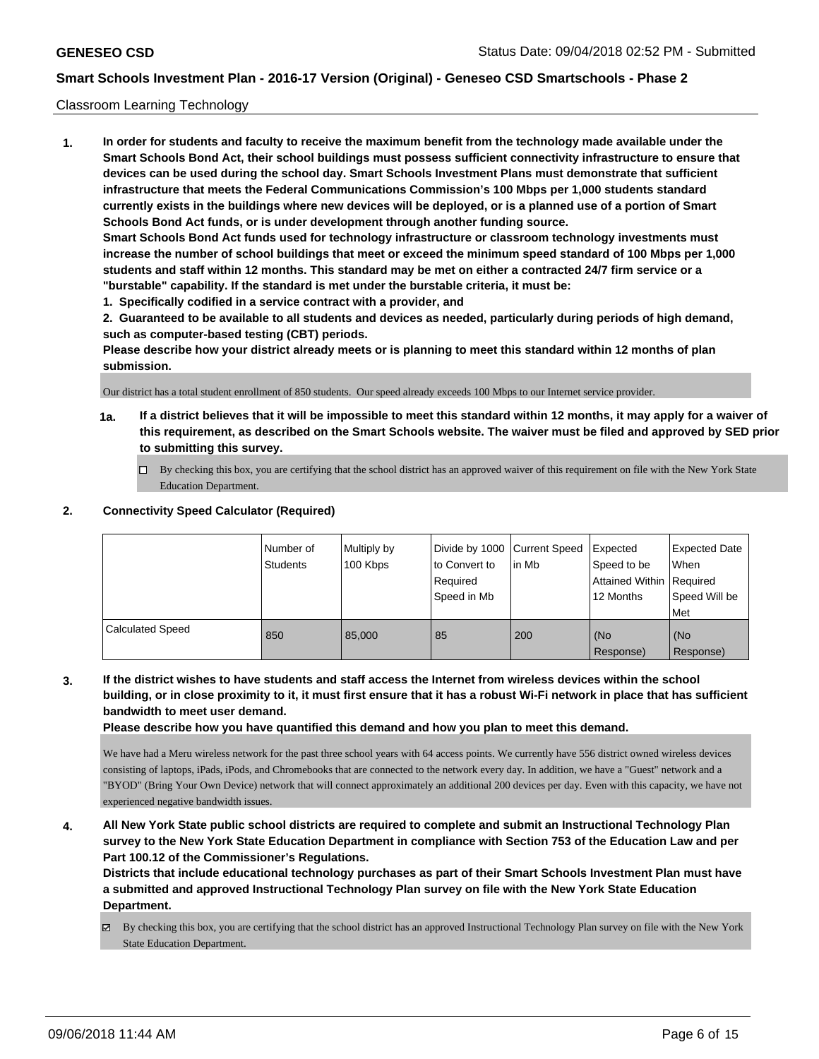#### Classroom Learning Technology

**1. In order for students and faculty to receive the maximum benefit from the technology made available under the Smart Schools Bond Act, their school buildings must possess sufficient connectivity infrastructure to ensure that devices can be used during the school day. Smart Schools Investment Plans must demonstrate that sufficient infrastructure that meets the Federal Communications Commission's 100 Mbps per 1,000 students standard currently exists in the buildings where new devices will be deployed, or is a planned use of a portion of Smart Schools Bond Act funds, or is under development through another funding source. Smart Schools Bond Act funds used for technology infrastructure or classroom technology investments must increase the number of school buildings that meet or exceed the minimum speed standard of 100 Mbps per 1,000 students and staff within 12 months. This standard may be met on either a contracted 24/7 firm service or a "burstable" capability. If the standard is met under the burstable criteria, it must be:**

**1. Specifically codified in a service contract with a provider, and**

**2. Guaranteed to be available to all students and devices as needed, particularly during periods of high demand, such as computer-based testing (CBT) periods.**

**Please describe how your district already meets or is planning to meet this standard within 12 months of plan submission.**

Our district has a total student enrollment of 850 students. Our speed already exceeds 100 Mbps to our Internet service provider.

- **1a. If a district believes that it will be impossible to meet this standard within 12 months, it may apply for a waiver of this requirement, as described on the Smart Schools website. The waiver must be filed and approved by SED prior to submitting this survey.**
	- By checking this box, you are certifying that the school district has an approved waiver of this requirement on file with the New York State Education Department.

#### **2. Connectivity Speed Calculator (Required)**

|                         | l Number of<br>Students | Multiply by<br>100 Kbps | to Convert to<br>Required<br>Speed in Mb | Divide by 1000 Current Speed Expected<br>lin Mb | Speed to be<br>Attained Within Required<br>12 Months | <b>Expected Date</b><br>When<br>Speed Will be<br>Met |
|-------------------------|-------------------------|-------------------------|------------------------------------------|-------------------------------------------------|------------------------------------------------------|------------------------------------------------------|
| <b>Calculated Speed</b> | 850                     | 85,000                  | 85                                       | 200                                             | l (No<br>Response)                                   | (No<br>Response)                                     |

**3. If the district wishes to have students and staff access the Internet from wireless devices within the school building, or in close proximity to it, it must first ensure that it has a robust Wi-Fi network in place that has sufficient bandwidth to meet user demand.**

**Please describe how you have quantified this demand and how you plan to meet this demand.**

We have had a Meru wireless network for the past three school years with 64 access points. We currently have 556 district owned wireless devices consisting of laptops, iPads, iPods, and Chromebooks that are connected to the network every day. In addition, we have a "Guest" network and a "BYOD" (Bring Your Own Device) network that will connect approximately an additional 200 devices per day. Even with this capacity, we have not experienced negative bandwidth issues.

**4. All New York State public school districts are required to complete and submit an Instructional Technology Plan survey to the New York State Education Department in compliance with Section 753 of the Education Law and per Part 100.12 of the Commissioner's Regulations.**

**Districts that include educational technology purchases as part of their Smart Schools Investment Plan must have a submitted and approved Instructional Technology Plan survey on file with the New York State Education Department.**

By checking this box, you are certifying that the school district has an approved Instructional Technology Plan survey on file with the New York State Education Department.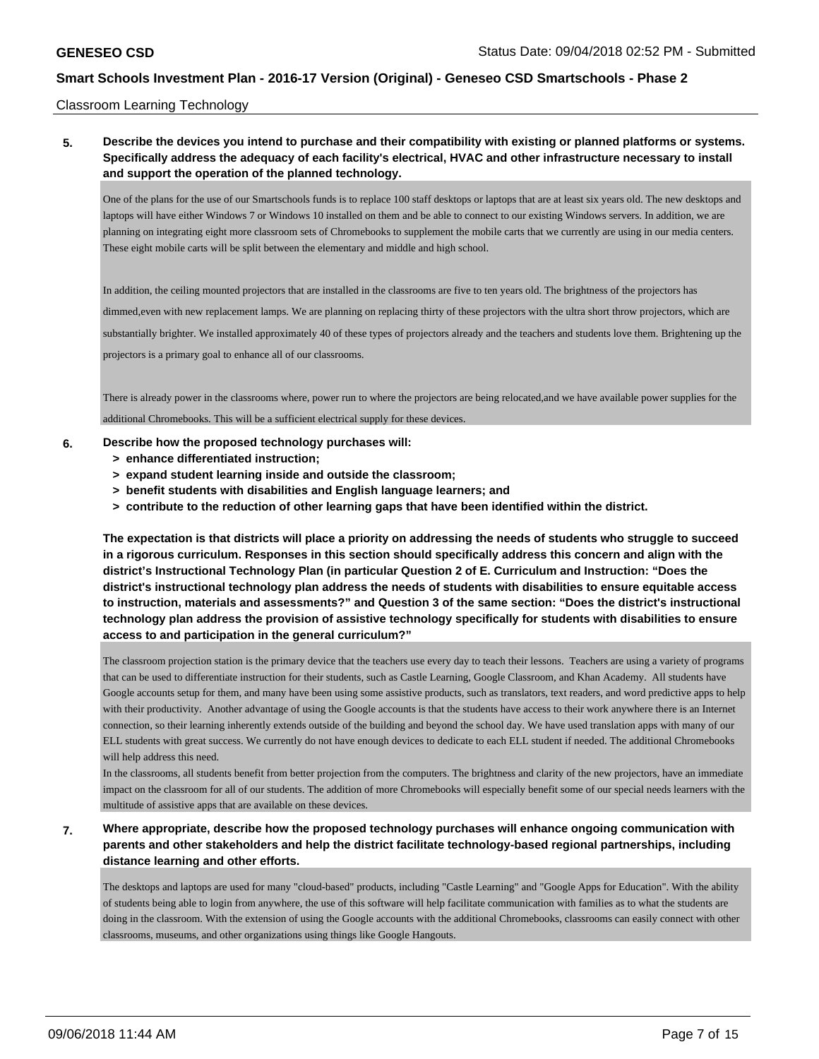#### Classroom Learning Technology

### **5. Describe the devices you intend to purchase and their compatibility with existing or planned platforms or systems. Specifically address the adequacy of each facility's electrical, HVAC and other infrastructure necessary to install and support the operation of the planned technology.**

One of the plans for the use of our Smartschools funds is to replace 100 staff desktops or laptops that are at least six years old. The new desktops and laptops will have either Windows 7 or Windows 10 installed on them and be able to connect to our existing Windows servers. In addition, we are planning on integrating eight more classroom sets of Chromebooks to supplement the mobile carts that we currently are using in our media centers. These eight mobile carts will be split between the elementary and middle and high school.

In addition, the ceiling mounted projectors that are installed in the classrooms are five to ten years old. The brightness of the projectors has dimmed,even with new replacement lamps. We are planning on replacing thirty of these projectors with the ultra short throw projectors, which are substantially brighter. We installed approximately 40 of these types of projectors already and the teachers and students love them. Brightening up the projectors is a primary goal to enhance all of our classrooms.

There is already power in the classrooms where, power run to where the projectors are being relocated,and we have available power supplies for the additional Chromebooks. This will be a sufficient electrical supply for these devices.

#### **6. Describe how the proposed technology purchases will:**

- **> enhance differentiated instruction;**
- **> expand student learning inside and outside the classroom;**
- **> benefit students with disabilities and English language learners; and**
- **> contribute to the reduction of other learning gaps that have been identified within the district.**

**The expectation is that districts will place a priority on addressing the needs of students who struggle to succeed in a rigorous curriculum. Responses in this section should specifically address this concern and align with the district's Instructional Technology Plan (in particular Question 2 of E. Curriculum and Instruction: "Does the district's instructional technology plan address the needs of students with disabilities to ensure equitable access to instruction, materials and assessments?" and Question 3 of the same section: "Does the district's instructional technology plan address the provision of assistive technology specifically for students with disabilities to ensure access to and participation in the general curriculum?"**

The classroom projection station is the primary device that the teachers use every day to teach their lessons. Teachers are using a variety of programs that can be used to differentiate instruction for their students, such as Castle Learning, Google Classroom, and Khan Academy. All students have Google accounts setup for them, and many have been using some assistive products, such as translators, text readers, and word predictive apps to help with their productivity. Another advantage of using the Google accounts is that the students have access to their work anywhere there is an Internet connection, so their learning inherently extends outside of the building and beyond the school day. We have used translation apps with many of our ELL students with great success. We currently do not have enough devices to dedicate to each ELL student if needed. The additional Chromebooks will help address this need.

In the classrooms, all students benefit from better projection from the computers. The brightness and clarity of the new projectors, have an immediate impact on the classroom for all of our students. The addition of more Chromebooks will especially benefit some of our special needs learners with the multitude of assistive apps that are available on these devices.

### **7. Where appropriate, describe how the proposed technology purchases will enhance ongoing communication with parents and other stakeholders and help the district facilitate technology-based regional partnerships, including distance learning and other efforts.**

The desktops and laptops are used for many "cloud-based" products, including "Castle Learning" and "Google Apps for Education". With the ability of students being able to login from anywhere, the use of this software will help facilitate communication with families as to what the students are doing in the classroom. With the extension of using the Google accounts with the additional Chromebooks, classrooms can easily connect with other classrooms, museums, and other organizations using things like Google Hangouts.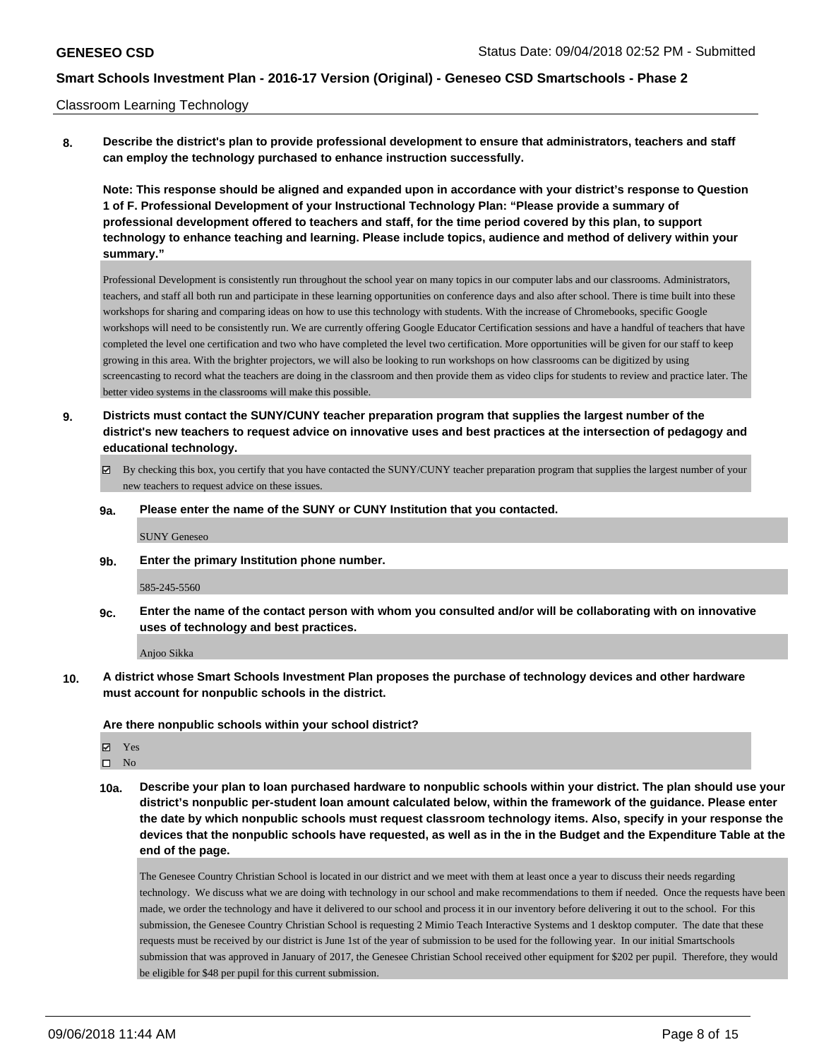#### Classroom Learning Technology

**8. Describe the district's plan to provide professional development to ensure that administrators, teachers and staff can employ the technology purchased to enhance instruction successfully.**

**Note: This response should be aligned and expanded upon in accordance with your district's response to Question 1 of F. Professional Development of your Instructional Technology Plan: "Please provide a summary of professional development offered to teachers and staff, for the time period covered by this plan, to support technology to enhance teaching and learning. Please include topics, audience and method of delivery within your summary."**

Professional Development is consistently run throughout the school year on many topics in our computer labs and our classrooms. Administrators, teachers, and staff all both run and participate in these learning opportunities on conference days and also after school. There is time built into these workshops for sharing and comparing ideas on how to use this technology with students. With the increase of Chromebooks, specific Google workshops will need to be consistently run. We are currently offering Google Educator Certification sessions and have a handful of teachers that have completed the level one certification and two who have completed the level two certification. More opportunities will be given for our staff to keep growing in this area. With the brighter projectors, we will also be looking to run workshops on how classrooms can be digitized by using screencasting to record what the teachers are doing in the classroom and then provide them as video clips for students to review and practice later. The better video systems in the classrooms will make this possible.

- **9. Districts must contact the SUNY/CUNY teacher preparation program that supplies the largest number of the district's new teachers to request advice on innovative uses and best practices at the intersection of pedagogy and educational technology.**
	- By checking this box, you certify that you have contacted the SUNY/CUNY teacher preparation program that supplies the largest number of your new teachers to request advice on these issues.
	- **9a. Please enter the name of the SUNY or CUNY Institution that you contacted.**

SUNY Geneseo

**9b. Enter the primary Institution phone number.**

585-245-5560

**9c. Enter the name of the contact person with whom you consulted and/or will be collaborating with on innovative uses of technology and best practices.**

Anjoo Sikka

**10. A district whose Smart Schools Investment Plan proposes the purchase of technology devices and other hardware must account for nonpublic schools in the district.**

**Are there nonpublic schools within your school district?**

Yes

- $\square$  No
- **10a. Describe your plan to loan purchased hardware to nonpublic schools within your district. The plan should use your district's nonpublic per-student loan amount calculated below, within the framework of the guidance. Please enter the date by which nonpublic schools must request classroom technology items. Also, specify in your response the devices that the nonpublic schools have requested, as well as in the in the Budget and the Expenditure Table at the end of the page.**

The Genesee Country Christian School is located in our district and we meet with them at least once a year to discuss their needs regarding technology. We discuss what we are doing with technology in our school and make recommendations to them if needed. Once the requests have been made, we order the technology and have it delivered to our school and process it in our inventory before delivering it out to the school. For this submission, the Genesee Country Christian School is requesting 2 Mimio Teach Interactive Systems and 1 desktop computer. The date that these requests must be received by our district is June 1st of the year of submission to be used for the following year. In our initial Smartschools submission that was approved in January of 2017, the Genesee Christian School received other equipment for \$202 per pupil. Therefore, they would be eligible for \$48 per pupil for this current submission.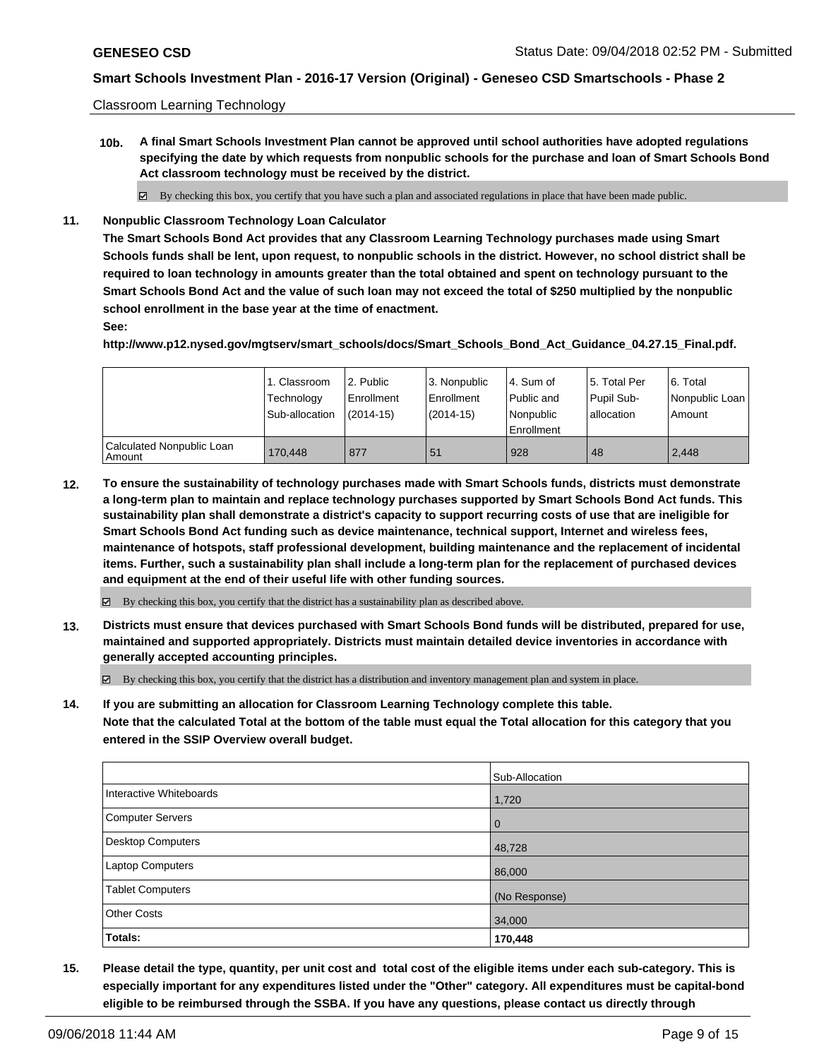Classroom Learning Technology

**10b. A final Smart Schools Investment Plan cannot be approved until school authorities have adopted regulations specifying the date by which requests from nonpublic schools for the purchase and loan of Smart Schools Bond Act classroom technology must be received by the district.**

By checking this box, you certify that you have such a plan and associated regulations in place that have been made public.

**11. Nonpublic Classroom Technology Loan Calculator**

**The Smart Schools Bond Act provides that any Classroom Learning Technology purchases made using Smart Schools funds shall be lent, upon request, to nonpublic schools in the district. However, no school district shall be required to loan technology in amounts greater than the total obtained and spent on technology pursuant to the Smart Schools Bond Act and the value of such loan may not exceed the total of \$250 multiplied by the nonpublic school enrollment in the base year at the time of enactment.**

#### **See:**

**http://www.p12.nysed.gov/mgtserv/smart\_schools/docs/Smart\_Schools\_Bond\_Act\_Guidance\_04.27.15\_Final.pdf.**

|                                     | 1. Classroom<br>Technology<br>Sub-allocation | l 2. Public<br>Enrollment<br>$(2014-15)$ | 3. Nonpublic<br>Enrollment<br>$(2014-15)$ | l 4. Sum of<br>Public and<br>Nonpublic<br>l Enrollment | 15. Total Per<br>Pupil Sub-<br>l allocation | l 6. Total<br>Nonpublic Loan<br>Amount |
|-------------------------------------|----------------------------------------------|------------------------------------------|-------------------------------------------|--------------------------------------------------------|---------------------------------------------|----------------------------------------|
| Calculated Nonpublic Loan<br>Amount | 170.448                                      | 877                                      | 51                                        | 928                                                    | 48                                          | 2.448                                  |

**12. To ensure the sustainability of technology purchases made with Smart Schools funds, districts must demonstrate a long-term plan to maintain and replace technology purchases supported by Smart Schools Bond Act funds. This sustainability plan shall demonstrate a district's capacity to support recurring costs of use that are ineligible for Smart Schools Bond Act funding such as device maintenance, technical support, Internet and wireless fees, maintenance of hotspots, staff professional development, building maintenance and the replacement of incidental items. Further, such a sustainability plan shall include a long-term plan for the replacement of purchased devices and equipment at the end of their useful life with other funding sources.**

 $\boxtimes$  By checking this box, you certify that the district has a sustainability plan as described above.

**13. Districts must ensure that devices purchased with Smart Schools Bond funds will be distributed, prepared for use, maintained and supported appropriately. Districts must maintain detailed device inventories in accordance with generally accepted accounting principles.**

By checking this box, you certify that the district has a distribution and inventory management plan and system in place.

**14. If you are submitting an allocation for Classroom Learning Technology complete this table. Note that the calculated Total at the bottom of the table must equal the Total allocation for this category that you entered in the SSIP Overview overall budget.**

|                         | Sub-Allocation |
|-------------------------|----------------|
| Interactive Whiteboards | 1,720          |
| Computer Servers        | $\overline{0}$ |
| Desktop Computers       | 48,728         |
| <b>Laptop Computers</b> | 86,000         |
| <b>Tablet Computers</b> | (No Response)  |
| <b>Other Costs</b>      | 34,000         |
| Totals:                 | 170,448        |

**15. Please detail the type, quantity, per unit cost and total cost of the eligible items under each sub-category. This is especially important for any expenditures listed under the "Other" category. All expenditures must be capital-bond eligible to be reimbursed through the SSBA. If you have any questions, please contact us directly through**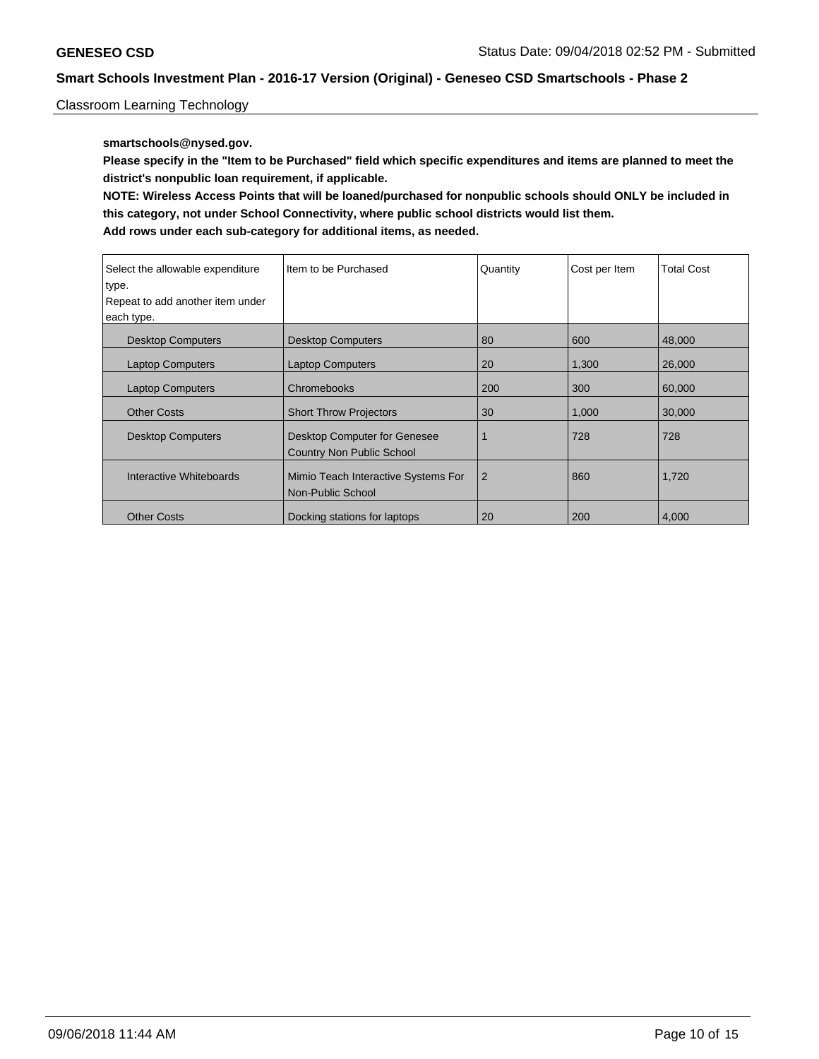Classroom Learning Technology

### **smartschools@nysed.gov.**

**Please specify in the "Item to be Purchased" field which specific expenditures and items are planned to meet the district's nonpublic loan requirement, if applicable.**

**NOTE: Wireless Access Points that will be loaned/purchased for nonpublic schools should ONLY be included in this category, not under School Connectivity, where public school districts would list them. Add rows under each sub-category for additional items, as needed.**

| Select the allowable expenditure<br>type. | Item to be Purchased                                                    | Quantity       | Cost per Item | <b>Total Cost</b> |
|-------------------------------------------|-------------------------------------------------------------------------|----------------|---------------|-------------------|
| Repeat to add another item under          |                                                                         |                |               |                   |
| each type.                                |                                                                         |                |               |                   |
| <b>Desktop Computers</b>                  | <b>Desktop Computers</b>                                                | 80             | 600           | 48,000            |
| <b>Laptop Computers</b>                   | <b>Laptop Computers</b>                                                 | 20             | 1,300         | 26,000            |
| <b>Laptop Computers</b>                   | Chromebooks                                                             | 200            | 300           | 60,000            |
| <b>Other Costs</b>                        | <b>Short Throw Projectors</b>                                           | 30             | 1,000         | 30,000            |
| <b>Desktop Computers</b>                  | <b>Desktop Computer for Genesee</b><br><b>Country Non Public School</b> |                | 728           | 728               |
| Interactive Whiteboards                   | Mimio Teach Interactive Systems For<br>Non-Public School                | $\overline{2}$ | 860           | 1,720             |
| <b>Other Costs</b>                        | Docking stations for laptops                                            | 20             | 200           | 4,000             |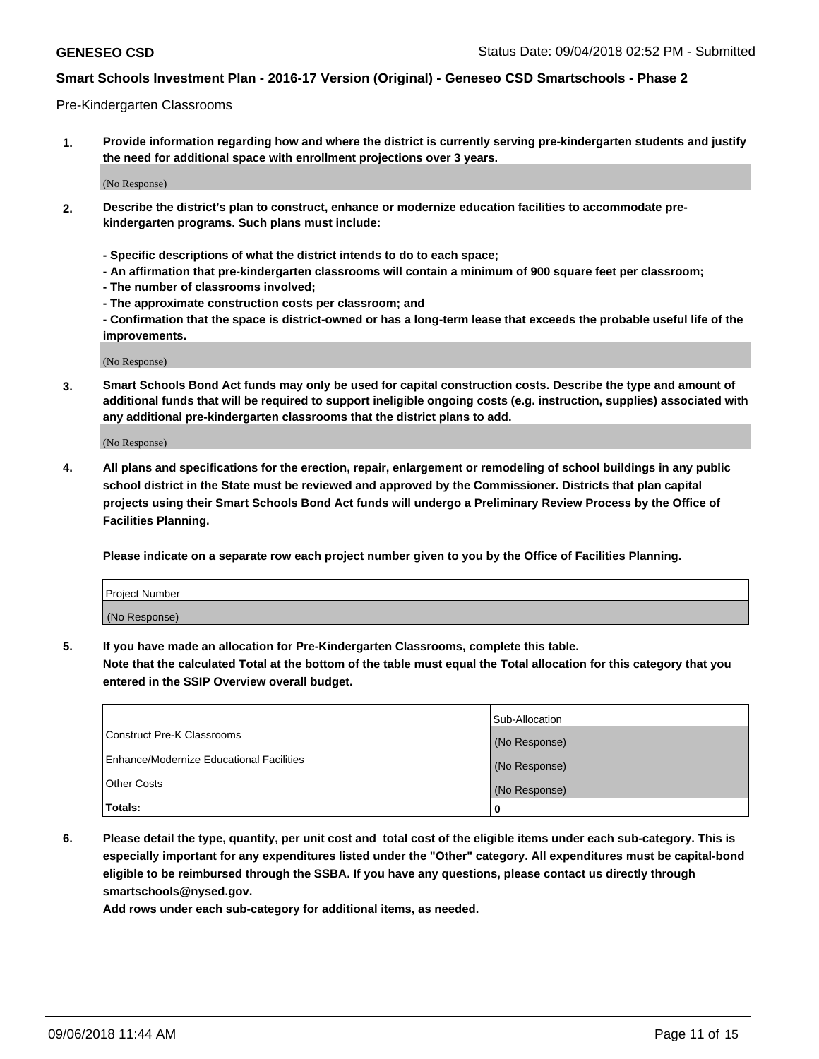#### Pre-Kindergarten Classrooms

**1. Provide information regarding how and where the district is currently serving pre-kindergarten students and justify the need for additional space with enrollment projections over 3 years.**

(No Response)

- **2. Describe the district's plan to construct, enhance or modernize education facilities to accommodate prekindergarten programs. Such plans must include:**
	- **Specific descriptions of what the district intends to do to each space;**
	- **An affirmation that pre-kindergarten classrooms will contain a minimum of 900 square feet per classroom;**
	- **The number of classrooms involved;**
	- **The approximate construction costs per classroom; and**
	- **Confirmation that the space is district-owned or has a long-term lease that exceeds the probable useful life of the improvements.**

(No Response)

**3. Smart Schools Bond Act funds may only be used for capital construction costs. Describe the type and amount of additional funds that will be required to support ineligible ongoing costs (e.g. instruction, supplies) associated with any additional pre-kindergarten classrooms that the district plans to add.**

(No Response)

**4. All plans and specifications for the erection, repair, enlargement or remodeling of school buildings in any public school district in the State must be reviewed and approved by the Commissioner. Districts that plan capital projects using their Smart Schools Bond Act funds will undergo a Preliminary Review Process by the Office of Facilities Planning.**

**Please indicate on a separate row each project number given to you by the Office of Facilities Planning.**

| Project Number |  |
|----------------|--|
| (No Response)  |  |
|                |  |

**5. If you have made an allocation for Pre-Kindergarten Classrooms, complete this table.**

**Note that the calculated Total at the bottom of the table must equal the Total allocation for this category that you entered in the SSIP Overview overall budget.**

|                                          | Sub-Allocation |
|------------------------------------------|----------------|
| Construct Pre-K Classrooms               | (No Response)  |
| Enhance/Modernize Educational Facilities | (No Response)  |
| <b>Other Costs</b>                       | (No Response)  |
| Totals:                                  | 0              |

**6. Please detail the type, quantity, per unit cost and total cost of the eligible items under each sub-category. This is especially important for any expenditures listed under the "Other" category. All expenditures must be capital-bond eligible to be reimbursed through the SSBA. If you have any questions, please contact us directly through smartschools@nysed.gov.**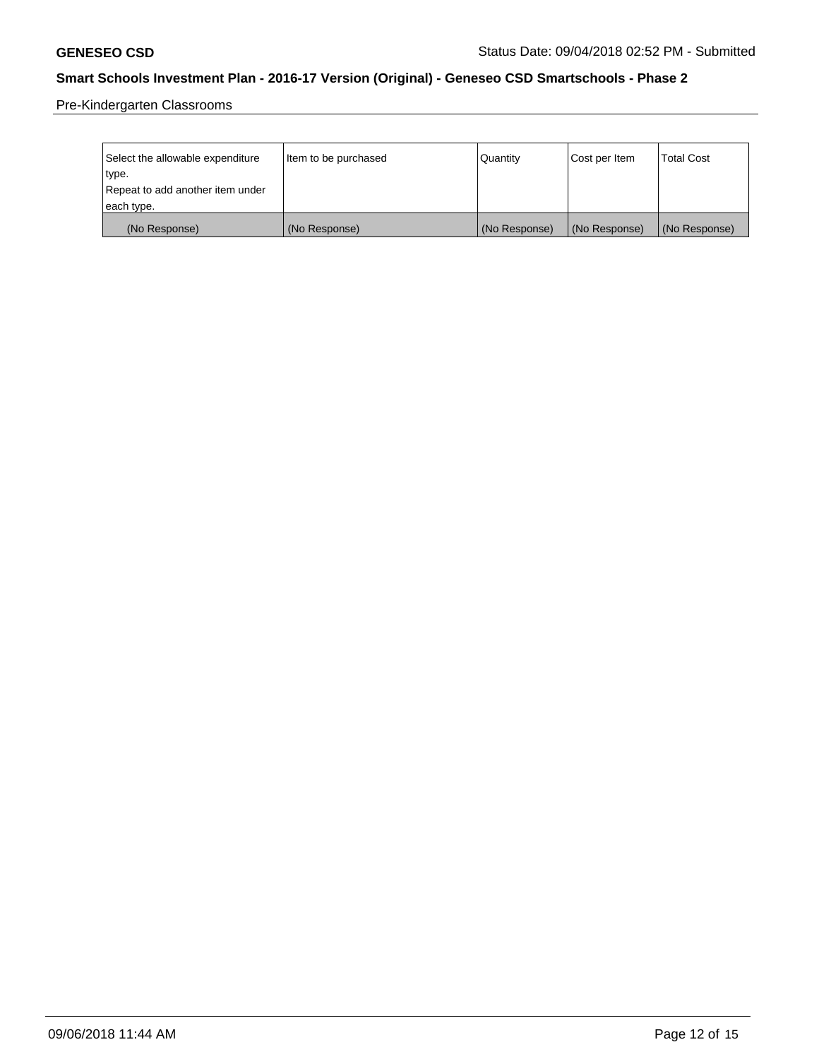Pre-Kindergarten Classrooms

| Select the allowable expenditure | Item to be purchased | Quantity      | Cost per Item | <b>Total Cost</b> |
|----------------------------------|----------------------|---------------|---------------|-------------------|
| type.                            |                      |               |               |                   |
| Repeat to add another item under |                      |               |               |                   |
| each type.                       |                      |               |               |                   |
| (No Response)                    | (No Response)        | (No Response) | (No Response) | (No Response)     |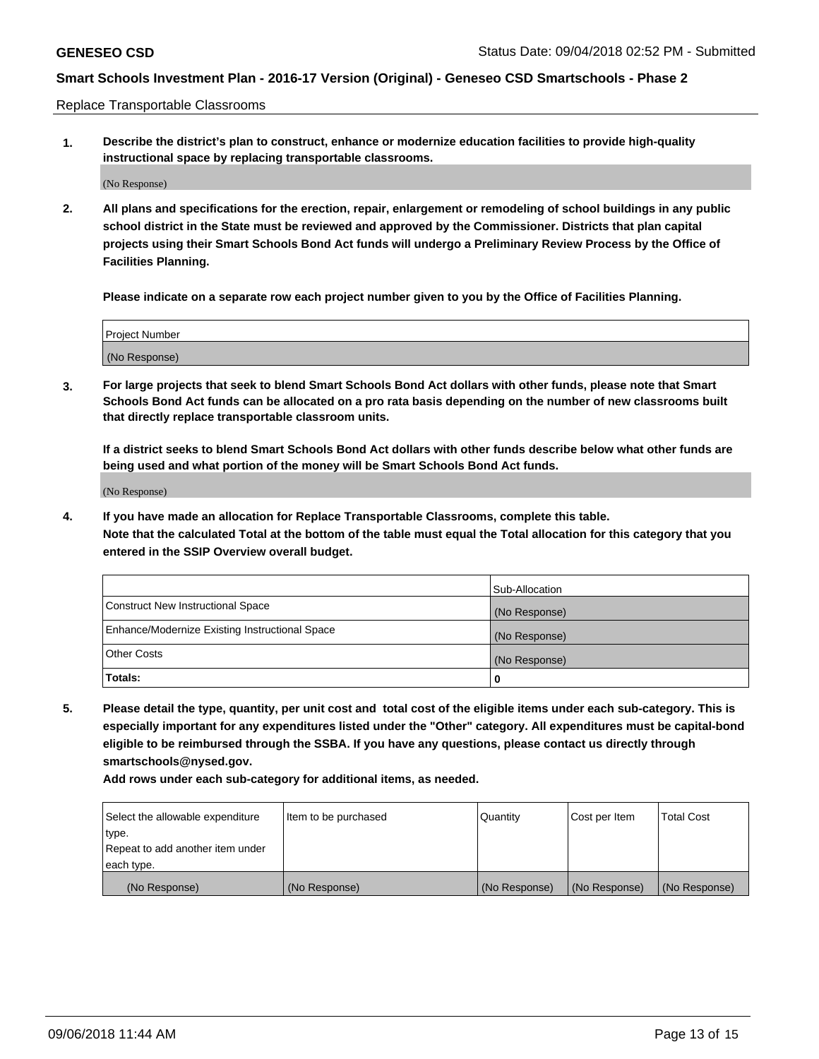Replace Transportable Classrooms

**1. Describe the district's plan to construct, enhance or modernize education facilities to provide high-quality instructional space by replacing transportable classrooms.**

(No Response)

**2. All plans and specifications for the erection, repair, enlargement or remodeling of school buildings in any public school district in the State must be reviewed and approved by the Commissioner. Districts that plan capital projects using their Smart Schools Bond Act funds will undergo a Preliminary Review Process by the Office of Facilities Planning.**

**Please indicate on a separate row each project number given to you by the Office of Facilities Planning.**

| Project Number |  |
|----------------|--|
|                |  |
| (No Response)  |  |

**3. For large projects that seek to blend Smart Schools Bond Act dollars with other funds, please note that Smart Schools Bond Act funds can be allocated on a pro rata basis depending on the number of new classrooms built that directly replace transportable classroom units.**

**If a district seeks to blend Smart Schools Bond Act dollars with other funds describe below what other funds are being used and what portion of the money will be Smart Schools Bond Act funds.**

(No Response)

**4. If you have made an allocation for Replace Transportable Classrooms, complete this table. Note that the calculated Total at the bottom of the table must equal the Total allocation for this category that you entered in the SSIP Overview overall budget.**

|                                                | Sub-Allocation |
|------------------------------------------------|----------------|
| Construct New Instructional Space              | (No Response)  |
| Enhance/Modernize Existing Instructional Space | (No Response)  |
| <b>Other Costs</b>                             | (No Response)  |
| Totals:                                        | 0              |

**5. Please detail the type, quantity, per unit cost and total cost of the eligible items under each sub-category. This is especially important for any expenditures listed under the "Other" category. All expenditures must be capital-bond eligible to be reimbursed through the SSBA. If you have any questions, please contact us directly through smartschools@nysed.gov.**

| Select the allowable expenditure | Item to be purchased | l Quantitv    | Cost per Item | <b>Total Cost</b> |
|----------------------------------|----------------------|---------------|---------------|-------------------|
| type.                            |                      |               |               |                   |
| Repeat to add another item under |                      |               |               |                   |
| each type.                       |                      |               |               |                   |
| (No Response)                    | (No Response)        | (No Response) | (No Response) | (No Response)     |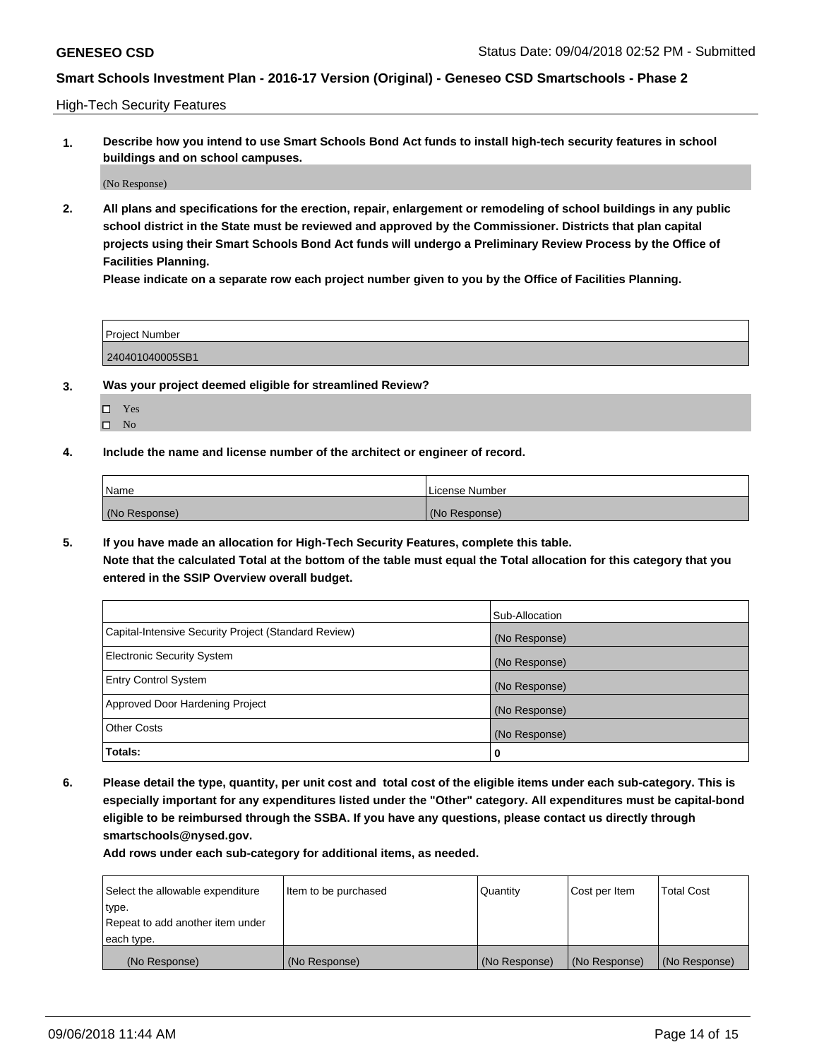High-Tech Security Features

**1. Describe how you intend to use Smart Schools Bond Act funds to install high-tech security features in school buildings and on school campuses.**

(No Response)

**2. All plans and specifications for the erection, repair, enlargement or remodeling of school buildings in any public school district in the State must be reviewed and approved by the Commissioner. Districts that plan capital projects using their Smart Schools Bond Act funds will undergo a Preliminary Review Process by the Office of Facilities Planning.** 

**Please indicate on a separate row each project number given to you by the Office of Facilities Planning.**

| <b>Project Number</b> |  |
|-----------------------|--|
| 240401040005SB1       |  |

- **3. Was your project deemed eligible for streamlined Review?**
	- Yes  $\square$  No
	-
- **4. Include the name and license number of the architect or engineer of record.**

| Name          | License Number |
|---------------|----------------|
| (No Response) | (No Response)  |

**5. If you have made an allocation for High-Tech Security Features, complete this table.**

**Note that the calculated Total at the bottom of the table must equal the Total allocation for this category that you entered in the SSIP Overview overall budget.**

|                                                      | Sub-Allocation |
|------------------------------------------------------|----------------|
| Capital-Intensive Security Project (Standard Review) | (No Response)  |
| <b>Electronic Security System</b>                    | (No Response)  |
| <b>Entry Control System</b>                          | (No Response)  |
| Approved Door Hardening Project                      | (No Response)  |
| <b>Other Costs</b>                                   | (No Response)  |
| Totals:                                              | 0              |

**6. Please detail the type, quantity, per unit cost and total cost of the eligible items under each sub-category. This is especially important for any expenditures listed under the "Other" category. All expenditures must be capital-bond eligible to be reimbursed through the SSBA. If you have any questions, please contact us directly through smartschools@nysed.gov.**

| Select the allowable expenditure | Item to be purchased | Quantity      | Cost per Item | <b>Total Cost</b> |
|----------------------------------|----------------------|---------------|---------------|-------------------|
| type.                            |                      |               |               |                   |
| Repeat to add another item under |                      |               |               |                   |
| each type.                       |                      |               |               |                   |
| (No Response)                    | (No Response)        | (No Response) | (No Response) | (No Response)     |